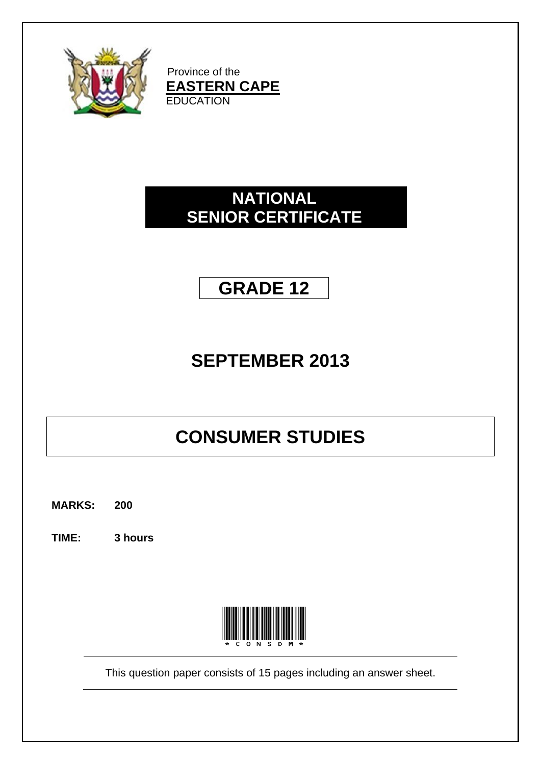

Province of the **EASTERN CAPE EDUCATION** 

# **NATIONAL SENIOR CERTIFICATE**

# **GRADE 12**

# **SEPTEMBER 2013**

# **CONSUMER STUDIES**

**MARKS: 200**

**TIME: 3 hours**



This question paper consists of 15 pages including an answer sheet.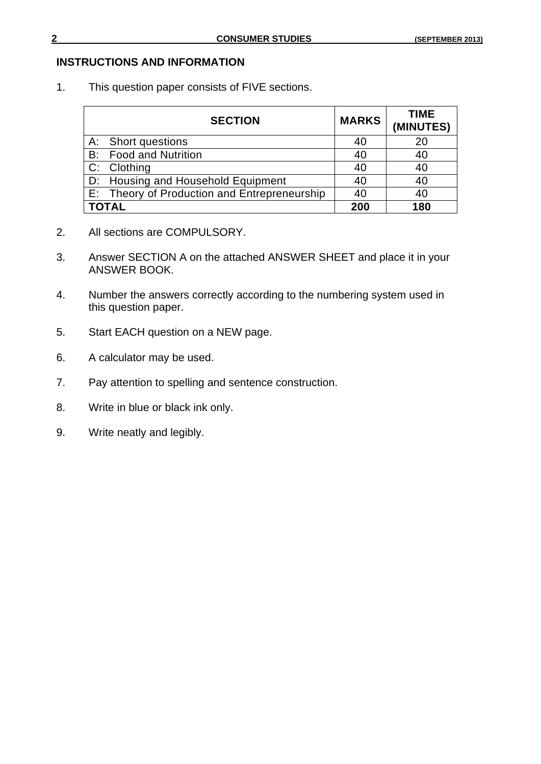### **INSTRUCTIONS AND INFORMATION**

1. This question paper consists of FIVE sections.

| <b>SECTION</b>                               | <b>MARKS</b> | <b>TIME</b><br>(MINUTES) |
|----------------------------------------------|--------------|--------------------------|
| A: Short questions                           | 40           | 20                       |
| <b>B:</b> Food and Nutrition                 | 40           | 40                       |
| C: Clothing                                  | 40           | 40                       |
| D: Housing and Household Equipment           | 40           | 40                       |
| E: Theory of Production and Entrepreneurship | 40           | 40                       |
| <b>TOTAL</b>                                 | 200          | 180                      |

- 2. All sections are COMPULSORY.
- 3. Answer SECTION A on the attached ANSWER SHEET and place it in your ANSWER BOOK.
- 4. Number the answers correctly according to the numbering system used in this question paper.
- 5. Start EACH question on a NEW page.
- 6. A calculator may be used.
- 7. Pay attention to spelling and sentence construction.
- 8. Write in blue or black ink only.
- 9. Write neatly and legibly.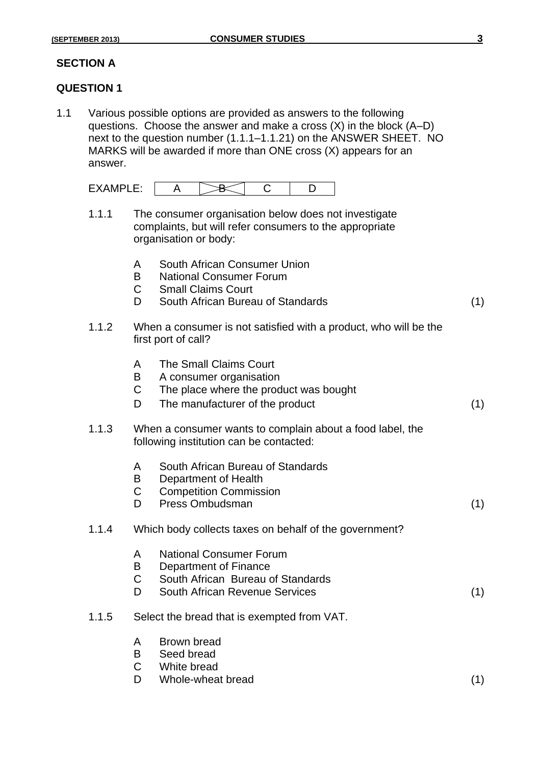### **SECTION A**

### **QUESTION 1**

1.1 Various possible options are provided as answers to the following questions. Choose the answer and make a cross (X) in the block (A–D) next to the question number (1.1.1–1.1.21) on the ANSWER SHEET. NO MARKS will be awarded if more than ONE cross (X) appears for an answer.

| .<br>$  -$ |  |  |
|------------|--|--|

- 1.1.1 The consumer organisation below does not investigate complaints, but will refer consumers to the appropriate organisation or body:
	- A South African Consumer Union
	- B National Consumer Forum
	- C Small Claims Court
	- D South African Bureau of Standards (1)
- 1.1.2 When a consumer is not satisfied with a product, who will be the first port of call?
	- A The Small Claims Court
	- B A consumer organisation
	- C The place where the product was bought
	- D The manufacturer of the product (1)
- 1.1.3 When a consumer wants to complain about a food label, the following institution can be contacted:
	- A South African Bureau of Standards
	- B Department of Health
	- C Competition Commission
	- D Press Ombudsman (1) (1)

### 1.1.4 Which body collects taxes on behalf of the government?

- A National Consumer Forum B Department of Finance
- C South African Bureau of Standards
- D South African Revenue Services (1)
- 1.1.5 Select the bread that is exempted from VAT.
	- A Brown bread
	- B Seed bread
	- C White bread
	- D Whole-wheat bread (1)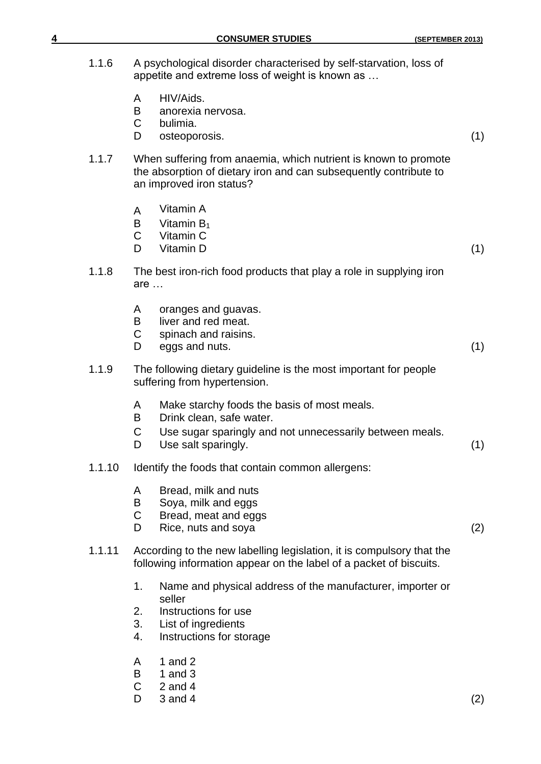- 1.1.6 A psychological disorder characterised by self-starvation, loss of appetite and extreme loss of weight is known as …
	- A HIV/Aids.
	- B anorexia nervosa.
	- C bulimia.
	- D osteoporosis. (1)
	- 1.1.7 When suffering from anaemia, which nutrient is known to promote the absorption of dietary iron and can subsequently contribute to an improved iron status?
		- A Vitamin A
		- $B$  Vitamin  $B_1$
		- C Vitamin C
		- D Vitamin D (1)
	- 1.1.8 The best iron-rich food products that play a role in supplying iron are …
		- A oranges and guavas.
		- B liver and red meat.
		- C spinach and raisins.
		- D eggs and nuts. (1)
	- 1.1.9 The following dietary guideline is the most important for people suffering from hypertension.
		- A Make starchy foods the basis of most meals.
		- B Drink clean, safe water.
		- C Use sugar sparingly and not unnecessarily between meals.
		- D Use salt sparingly. (1)
- 1.1.10 Identify the foods that contain common allergens:
	- A Bread, milk and nuts
	- B Soya, milk and eggs
	- C Bread, meat and eggs
	- D Rice, nuts and soya (2)
- 1.1.11 According to the new labelling legislation, it is compulsory that the following information appear on the label of a packet of biscuits.
	- 1. Name and physical address of the manufacturer, importer or seller
	- 2. Instructions for use
	- 3. List of ingredients
	- 4. Instructions for storage
	- A 1 and 2
	- B 1 and 3
	- $C$  2 and 4
	- D  $3$  and  $4$  (2)
-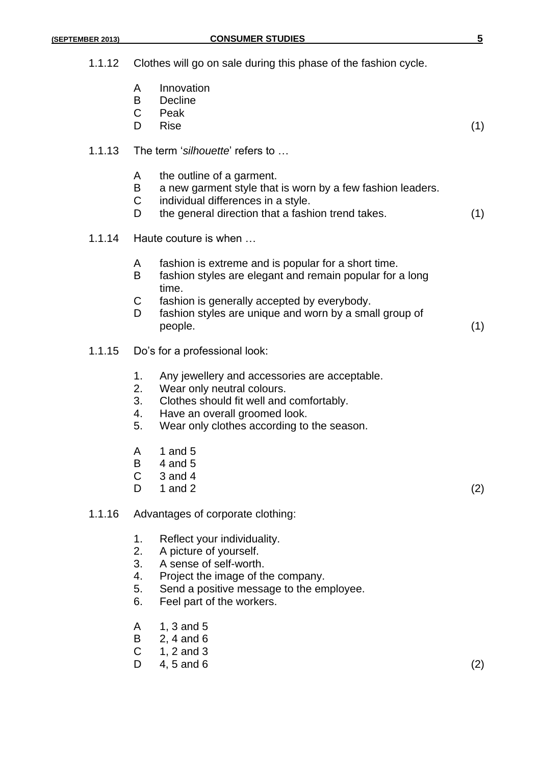- 1.1.12 Clothes will go on sale during this phase of the fashion cycle.
	- A Innovation
	- B Decline
	- C Peak
	- D Rise (1)
- 1.1.13 The term '*silhouette*' refers to …
	- A the outline of a garment.
	- B a new garment style that is worn by a few fashion leaders.
	- C individual differences in a style.
	- D the general direction that a fashion trend takes. (1)
- 1.1.14 Haute couture is when …
	- A fashion is extreme and is popular for a short time.
	- B fashion styles are elegant and remain popular for a long time.
	- C fashion is generally accepted by everybody.
	- D fashion styles are unique and worn by a small group of people. (1)
- 1.1.15 Do's for a professional look:
	- 1. Any jewellery and accessories are acceptable.
	- 2. Wear only neutral colours.
	- 3. Clothes should fit well and comfortably.
	- 4. Have an overall groomed look.
	- 5. Wear only clothes according to the season.
	- A 1 and 5
	- $B = 4$  and 5
	- $C = 3$  and 4
	- D  $1$  and 2 (2)

- 1.1.16 Advantages of corporate clothing:
	- 1. Reflect your individuality.
	- 2. A picture of yourself.
	- 3. A sense of self-worth.
	- 4. Project the image of the company.
	- 5. Send a positive message to the employee.
	- 6. Feel part of the workers.
	- A 1, 3 and 5
	- B 2, 4 and 6
	- $C = 1, 2$  and 3
	- $D = 4, 5 \text{ and } 6$  (2)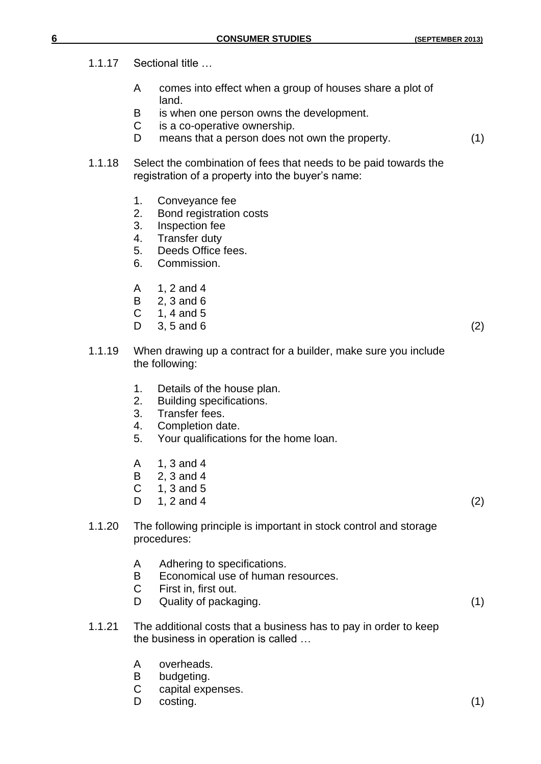- 1.1.17 Sectional title …
	- A comes into effect when a group of houses share a plot of land.
	- B is when one person owns the development.
	- C is a co-operative ownership.
	- D means that a person does not own the property. (1)
- 1.1.18 Select the combination of fees that needs to be paid towards the registration of a property into the buyer's name:
	- 1. Conveyance fee
	- 2. Bond registration costs
	- 3. Inspection fee
	- 4. Transfer duty
	- 5. Deeds Office fees.
	- 6. Commission.
	- A 1, 2 and 4
	- B 2, 3 and 6
	- $C = 1, 4$  and  $5$
	- $D = 3, 5 \text{ and } 6$  (2)

- 1.1.19 When drawing up a contract for a builder, make sure you include the following:
	- 1. Details of the house plan.
	- 2. Building specifications.
	- 3. Transfer fees.
	- 4. Completion date.
	- 5. Your qualifications for the home loan.
	- A 1, 3 and 4
	- B 2, 3 and 4
	- $C = 1, 3$  and 5
	- $D = 1, 2 \text{ and } 4$  (2)
- 1.1.20 The following principle is important in stock control and storage procedures:
	- A Adhering to specifications.
	- B Economical use of human resources.
	- C First in, first out.
	- D Quality of packaging. (1)
- 1.1.21 The additional costs that a business has to pay in order to keep the business in operation is called …
	- A overheads.
	- B budgeting.
	- C capital expenses.
	- D costing. (1)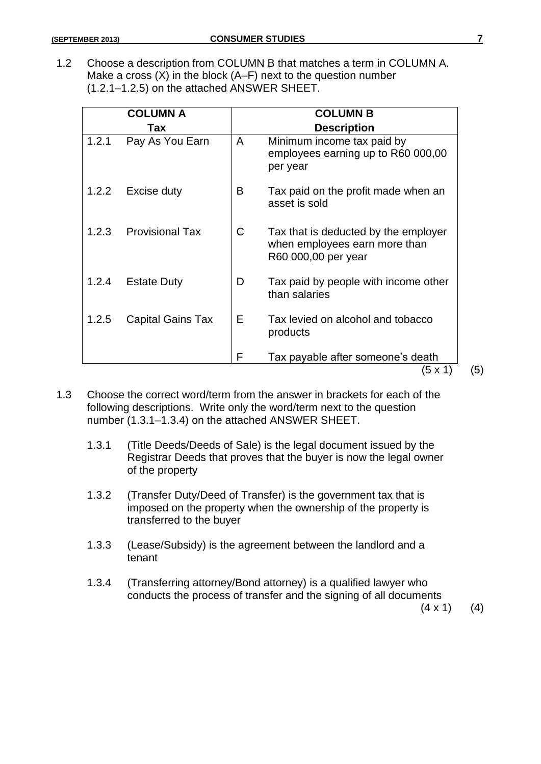1.2 Choose a description from COLUMN B that matches a term in COLUMN A. Make a cross (X) in the block (A–F) next to the question number (1.2.1–1.2.5) on the attached ANSWER SHEET.

|       | <b>COLUMN A</b>          |    | <b>COLUMN B</b>                                                                              |
|-------|--------------------------|----|----------------------------------------------------------------------------------------------|
|       | Tax                      |    | <b>Description</b>                                                                           |
| 1.2.1 | Pay As You Earn          | A  | Minimum income tax paid by<br>employees earning up to R60 000,00<br>per year                 |
| 1.2.2 | Excise duty              | B  | Tax paid on the profit made when an<br>asset is sold                                         |
| 1.2.3 | <b>Provisional Tax</b>   | С  | Tax that is deducted by the employer<br>when employees earn more than<br>R60 000,00 per year |
| 1.2.4 | <b>Estate Duty</b>       | D  | Tax paid by people with income other<br>than salaries                                        |
| 1.2.5 | <b>Capital Gains Tax</b> | E. | Tax levied on alcohol and tobacco<br>products                                                |
|       |                          | F  | Tax payable after someone's death<br>(5 x 1)                                                 |

- 1.3 Choose the correct word/term from the answer in brackets for each of the following descriptions. Write only the word/term next to the question number (1.3.1–1.3.4) on the attached ANSWER SHEET.
	- 1.3.1 (Title Deeds/Deeds of Sale) is the legal document issued by the Registrar Deeds that proves that the buyer is now the legal owner of the property
	- 1.3.2 (Transfer Duty/Deed of Transfer) is the government tax that is imposed on the property when the ownership of the property is transferred to the buyer
	- 1.3.3 (Lease/Subsidy) is the agreement between the landlord and a tenant
	- 1.3.4 (Transferring attorney/Bond attorney) is a qualified lawyer who conducts the process of transfer and the signing of all documents

 $(4 \times 1)$  (4)

 $(5)$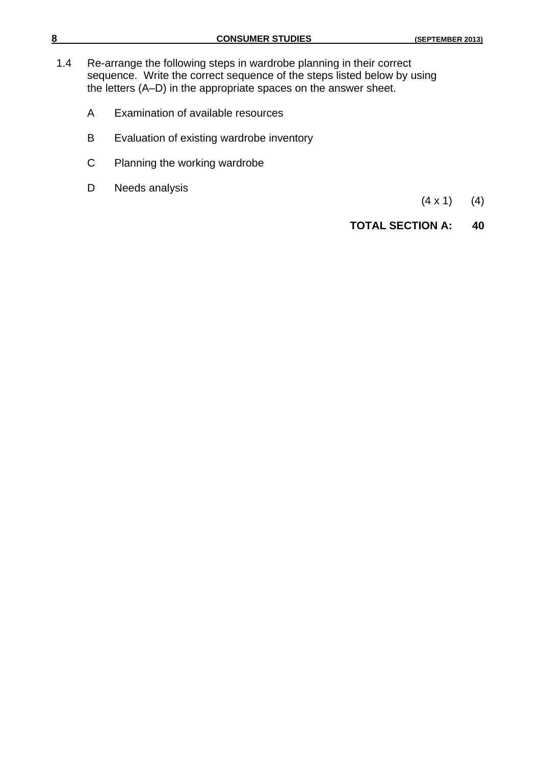- 1.4 Re-arrange the following steps in wardrobe planning in their correct sequence. Write the correct sequence of the steps listed below by using the letters (A–D) in the appropriate spaces on the answer sheet.
	- A Examination of available resources
	- B Evaluation of existing wardrobe inventory
	- C Planning the working wardrobe
	- D Needs analysis

 $(4 \times 1)$  (4)

### **TOTAL SECTION A: 40**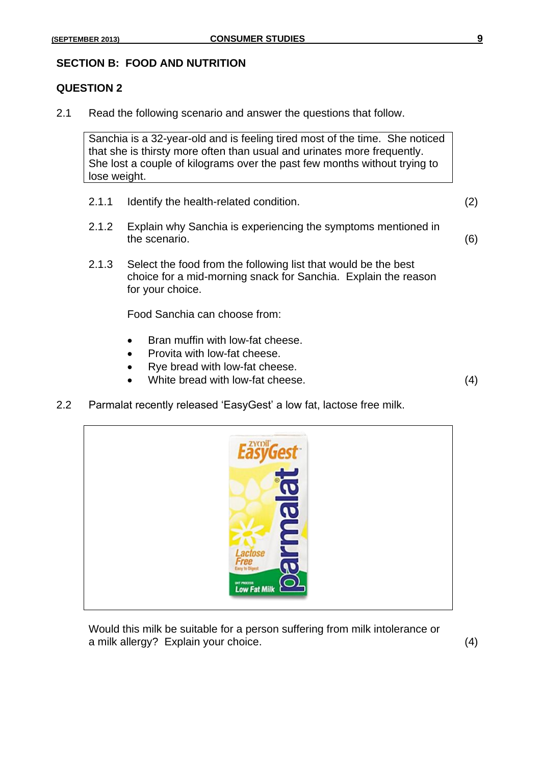### **SECTION B: FOOD AND NUTRITION**

### **QUESTION 2**

2.1 Read the following scenario and answer the questions that follow.

Sanchia is a 32-year-old and is feeling tired most of the time. She noticed that she is thirsty more often than usual and urinates more frequently. She lost a couple of kilograms over the past few months without trying to lose weight.

- 2.1.1 Identify the health-related condition. (2)
- 2.1.2 Explain why Sanchia is experiencing the symptoms mentioned in the scenario. (6)
- 2.1.3 Select the food from the following list that would be the best choice for a mid-morning snack for Sanchia. Explain the reason for your choice.

Food Sanchia can choose from:

- Bran muffin with low-fat cheese.
- Provita with low-fat cheese.
- Rye bread with low-fat cheese.
- White bread with low-fat cheese. (4)
- 2.2 Parmalat recently released 'EasyGest' a low fat, lactose free milk.



Would this milk be suitable for a person suffering from milk intolerance or a milk allergy? Explain your choice. (4)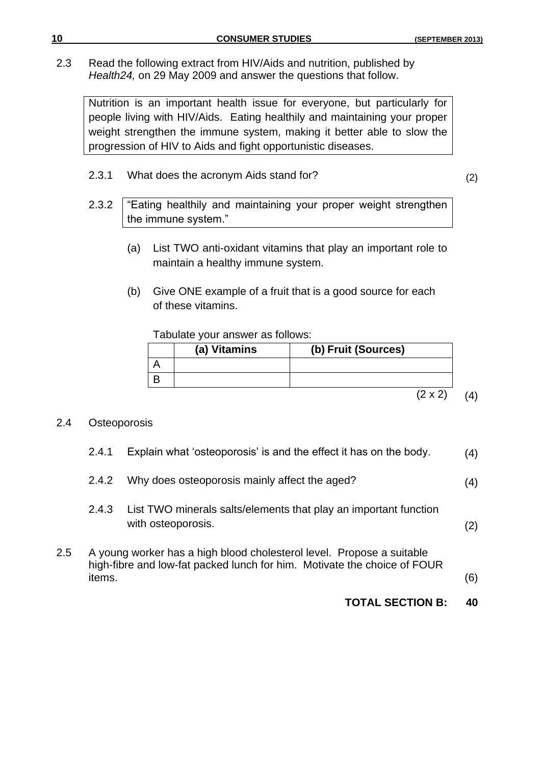2.3 Read the following extract from HIV/Aids and nutrition, published by *Health24,* on 29 May 2009 and answer the questions that follow.

Nutrition is an important health issue for everyone, but particularly for people living with HIV/Aids. Eating healthily and maintaining your proper weight strengthen the immune system, making it better able to slow the progression of HIV to Aids and fight opportunistic diseases.

2.3.1 What does the acronym Aids stand for? (2)

- 2.3.2 | "Eating healthily and maintaining your proper weight strengthen the immune system."
	- (a) List TWO anti-oxidant vitamins that play an important role to maintain a healthy immune system.
	- (b) Give ONE example of a fruit that is a good source for each of these vitamins.

Tabulate your answer as follows:

| (a) Vitamins | (b) Fruit (Sources) |
|--------------|---------------------|
|              |                     |
|              |                     |

 $(2 \times 2)$  (4)

### 2.4 Osteoporosis

|     |        | <b>TOTAL SECTION B:</b>                                                                                                                           | 40  |
|-----|--------|---------------------------------------------------------------------------------------------------------------------------------------------------|-----|
| 2.5 | items. | A young worker has a high blood cholesterol level. Propose a suitable<br>high-fibre and low-fat packed lunch for him. Motivate the choice of FOUR | (6) |
|     | 2.4.3  | List TWO minerals salts/elements that play an important function<br>with osteoporosis.                                                            | (2) |
|     | 2.4.2  | Why does osteoporosis mainly affect the aged?                                                                                                     | (4) |
|     | 2.4.1  | Explain what 'osteoporosis' is and the effect it has on the body.                                                                                 | (4) |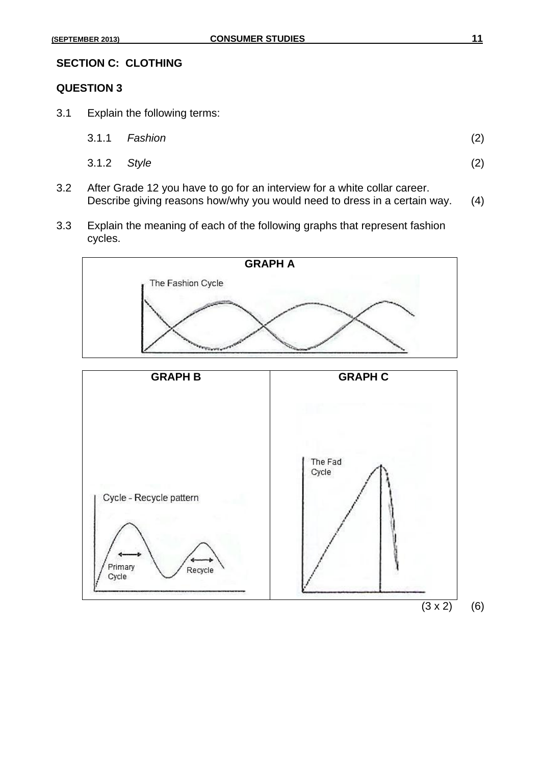### **QUESTION 3**

3.1 Explain the following terms:

|             | 3.1.1 Fashion | (2) |
|-------------|---------------|-----|
| 3.1.2 Style |               | (2) |

- 3.2 After Grade 12 you have to go for an interview for a white collar career. Describe giving reasons how/why you would need to dress in a certain way. (4)
- 3.3 Explain the meaning of each of the following graphs that represent fashion cycles.

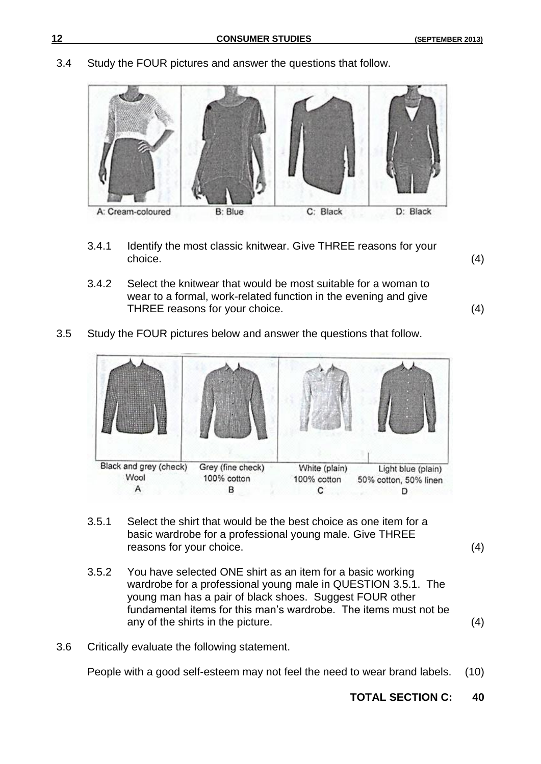3.4 Study the FOUR pictures and answer the questions that follow.



- 3.4.1 Identify the most classic knitwear. Give THREE reasons for your choice. (4)
- 3.4.2 Select the knitwear that would be most suitable for a woman to wear to a formal, work-related function in the evening and give THREE reasons for your choice. (4)
	-
- 3.5 Study the FOUR pictures below and answer the questions that follow.

| Black and grey (check) | Grey (fine check) | White (plain) | Light blue (plain)    |
|------------------------|-------------------|---------------|-----------------------|
| Wool                   | 100% cotton       | 100% cotton   | 50% cotton, 50% linen |

- 3.5.1 Select the shirt that would be the best choice as one item for a basic wardrobe for a professional young male. Give THREE reasons for your choice. (4)
- 3.5.2 You have selected ONE shirt as an item for a basic working wardrobe for a professional young male in QUESTION 3.5.1. The young man has a pair of black shoes. Suggest FOUR other fundamental items for this man's wardrobe. The items must not be any of the shirts in the picture. (4)
- 3.6 Critically evaluate the following statement.

People with a good self-esteem may not feel the need to wear brand labels. (10)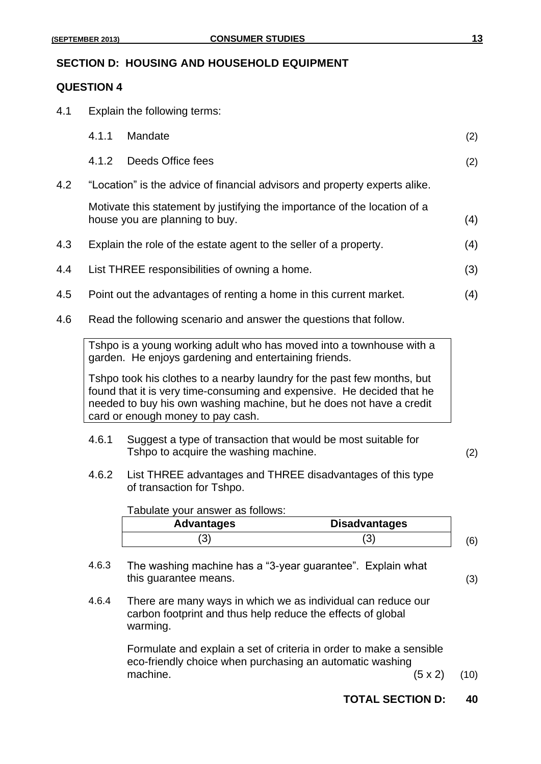### **SECTION D: HOUSING AND HOUSEHOLD EQUIPMENT**

### **QUESTION 4**

4.1 Explain the following terms:

|     | 4.1.1 | Mandate                                                                                                                                                                                                                                                        |                      | (2) |
|-----|-------|----------------------------------------------------------------------------------------------------------------------------------------------------------------------------------------------------------------------------------------------------------------|----------------------|-----|
|     | 4.1.2 | Deeds Office fees                                                                                                                                                                                                                                              |                      | (2) |
| 4.2 |       | "Location" is the advice of financial advisors and property experts alike.                                                                                                                                                                                     |                      |     |
|     |       | Motivate this statement by justifying the importance of the location of a<br>house you are planning to buy.                                                                                                                                                    |                      | (4) |
| 4.3 |       | Explain the role of the estate agent to the seller of a property.                                                                                                                                                                                              |                      | (4) |
| 4.4 |       | List THREE responsibilities of owning a home.                                                                                                                                                                                                                  |                      | (3) |
| 4.5 |       | Point out the advantages of renting a home in this current market.                                                                                                                                                                                             |                      | (4) |
| 4.6 |       | Read the following scenario and answer the questions that follow.                                                                                                                                                                                              |                      |     |
|     |       | Tshpo is a young working adult who has moved into a townhouse with a<br>garden. He enjoys gardening and entertaining friends.                                                                                                                                  |                      |     |
|     |       | Tshpo took his clothes to a nearby laundry for the past few months, but<br>found that it is very time-consuming and expensive. He decided that he<br>needed to buy his own washing machine, but he does not have a credit<br>card or enough money to pay cash. |                      |     |
|     | 4.6.1 | Suggest a type of transaction that would be most suitable for<br>Tshpo to acquire the washing machine.                                                                                                                                                         |                      | (2) |
|     | 4.6.2 | List THREE advantages and THREE disadvantages of this type<br>of transaction for Tshpo.                                                                                                                                                                        |                      |     |
|     |       | Tabulate your answer as follows:                                                                                                                                                                                                                               |                      |     |
|     |       | <b>Advantages</b>                                                                                                                                                                                                                                              | <b>Disadvantages</b> |     |
|     |       | (3)                                                                                                                                                                                                                                                            | (3)                  | (6) |
|     | 4.6.3 | The washing machine has a "3-year guarantee". Explain what<br>this guarantee means.                                                                                                                                                                            |                      | (3) |
|     | 4.6.4 | There are many ways in which we as individual can reduce our<br>carbon footprint and thus help reduce the effects of global<br>warming.                                                                                                                        |                      |     |

Formulate and explain a set of criteria in order to make a sensible eco-friendly choice when purchasing an automatic washing machine.  $(5 \times 2)$  (10)

**TOTAL SECTION D: 40**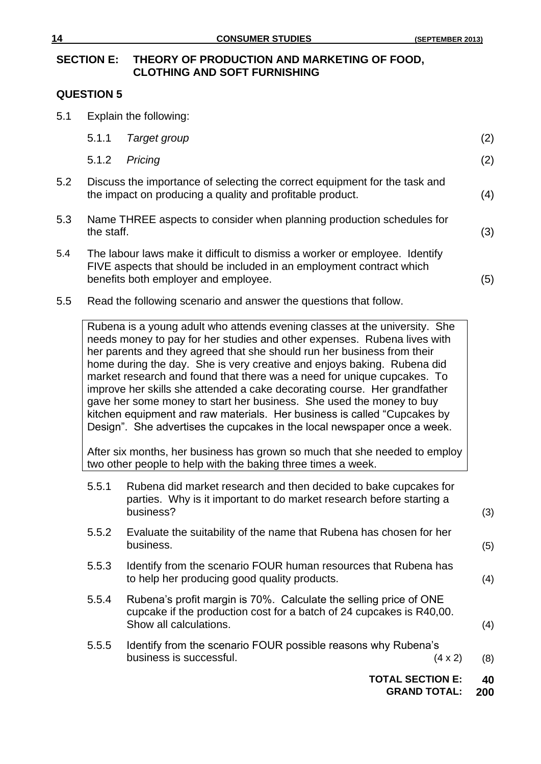### **SECTION E: THEORY OF PRODUCTION AND MARKETING OF FOOD, CLOTHING AND SOFT FURNISHING**

### **QUESTION 5**

5.1 Explain the following:

|     |            | <b>TOTAL SECTION E:</b>                                                                                                                                                                                                                                                                                                                                                                                                                                                                                                                                                                                                                                                                              |                | 40  |
|-----|------------|------------------------------------------------------------------------------------------------------------------------------------------------------------------------------------------------------------------------------------------------------------------------------------------------------------------------------------------------------------------------------------------------------------------------------------------------------------------------------------------------------------------------------------------------------------------------------------------------------------------------------------------------------------------------------------------------------|----------------|-----|
|     | 5.5.5      | Identify from the scenario FOUR possible reasons why Rubena's<br>business is successful.                                                                                                                                                                                                                                                                                                                                                                                                                                                                                                                                                                                                             | $(4 \times 2)$ | (8) |
|     | 5.5.4      | Rubena's profit margin is 70%. Calculate the selling price of ONE<br>cupcake if the production cost for a batch of 24 cupcakes is R40,00.<br>Show all calculations.                                                                                                                                                                                                                                                                                                                                                                                                                                                                                                                                  |                | (4) |
|     | 5.5.3      | Identify from the scenario FOUR human resources that Rubena has<br>to help her producing good quality products.                                                                                                                                                                                                                                                                                                                                                                                                                                                                                                                                                                                      |                | (4) |
|     | 5.5.2      | Evaluate the suitability of the name that Rubena has chosen for her<br>business.                                                                                                                                                                                                                                                                                                                                                                                                                                                                                                                                                                                                                     |                | (5) |
|     | 5.5.1      | Rubena did market research and then decided to bake cupcakes for<br>parties. Why is it important to do market research before starting a<br>business?                                                                                                                                                                                                                                                                                                                                                                                                                                                                                                                                                |                | (3) |
|     |            | After six months, her business has grown so much that she needed to employ<br>two other people to help with the baking three times a week.                                                                                                                                                                                                                                                                                                                                                                                                                                                                                                                                                           |                |     |
|     |            | Rubena is a young adult who attends evening classes at the university. She<br>needs money to pay for her studies and other expenses. Rubena lives with<br>her parents and they agreed that she should run her business from their<br>home during the day. She is very creative and enjoys baking. Rubena did<br>market research and found that there was a need for unique cupcakes. To<br>improve her skills she attended a cake decorating course. Her grandfather<br>gave her some money to start her business. She used the money to buy<br>kitchen equipment and raw materials. Her business is called "Cupcakes by<br>Design". She advertises the cupcakes in the local newspaper once a week. |                |     |
| 5.5 |            | Read the following scenario and answer the questions that follow.                                                                                                                                                                                                                                                                                                                                                                                                                                                                                                                                                                                                                                    |                |     |
| 5.4 |            | The labour laws make it difficult to dismiss a worker or employee. Identify<br>FIVE aspects that should be included in an employment contract which<br>benefits both employer and employee.                                                                                                                                                                                                                                                                                                                                                                                                                                                                                                          |                | (5) |
| 5.3 | the staff. | Name THREE aspects to consider when planning production schedules for                                                                                                                                                                                                                                                                                                                                                                                                                                                                                                                                                                                                                                |                | (3) |
| 5.2 |            | Discuss the importance of selecting the correct equipment for the task and<br>the impact on producing a quality and profitable product.                                                                                                                                                                                                                                                                                                                                                                                                                                                                                                                                                              |                | (4) |
|     | 5.1.2      | Pricing                                                                                                                                                                                                                                                                                                                                                                                                                                                                                                                                                                                                                                                                                              |                | (2) |
|     | 5.1.1      | Target group                                                                                                                                                                                                                                                                                                                                                                                                                                                                                                                                                                                                                                                                                         |                | (2) |

**GRAND TOTAL: 200**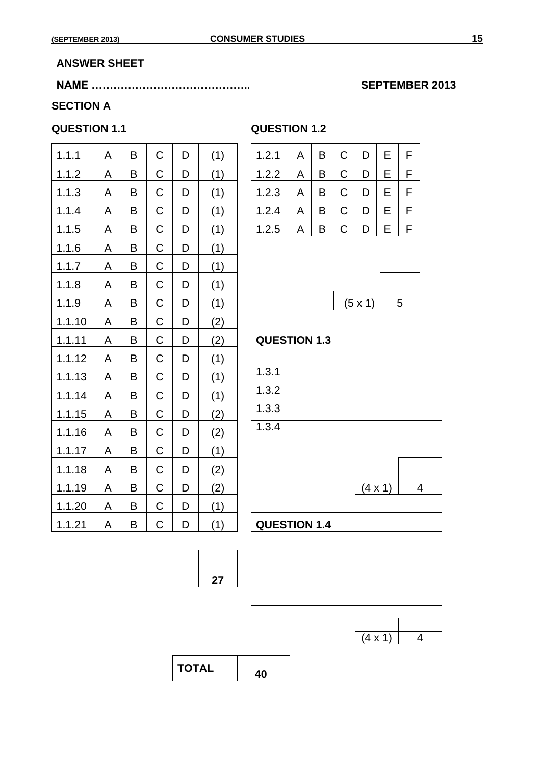### **ANSWER SHEET**

### **NAME …………………………………….. SEPTEMBER 2013**

### **SECTION A**

### **QUESTION 1.1 QUESTION 1.2**

| 1.1.1  | A | B | $\mathsf C$ | D | (1) | E<br>F<br>$\mathsf C$<br>1.2.1<br>B<br>D<br>A |
|--------|---|---|-------------|---|-----|-----------------------------------------------|
| 1.1.2  | A | B | $\mathsf C$ | D | (1) | $\mathsf C$<br>E<br>F<br>B<br>D<br>1.2.2<br>A |
| 1.1.3  | A | B | $\mathsf C$ | D | (1) | $\mathsf C$<br>E<br>F<br>D<br>1.2.3<br>B<br>A |
| 1.1.4  | A | B | $\mathsf C$ | D | (1) | $\mathsf C$<br>F<br>E<br>1.2.4<br>B<br>D<br>A |
| 1.1.5  | A | B | $\mathsf C$ | D | (1) | E<br>F<br>1.2.5<br>$\mathsf C$<br>B<br>D<br>A |
| 1.1.6  | A | B | $\mathsf C$ | D | (1) |                                               |
| 1.1.7  | A | B | $\mathsf C$ | D | (1) |                                               |
| 1.1.8  | A | B | $\mathsf C$ | D | (1) |                                               |
| 1.1.9  | A | B | $\mathsf C$ | D | (1) | (5 x 1)<br>5                                  |
| 1.1.10 | A | B | $\mathsf C$ | D | (2) |                                               |
| 1.1.11 | A | B | $\mathsf C$ | D | (2) | <b>QUESTION 1.3</b>                           |
| 1.1.12 | A | B | $\mathsf C$ | D | (1) |                                               |
| 1.1.13 | A | B | C           | D | (1) | 1.3.1                                         |
| 1.1.14 | A | B | C           | D | (1) | 1.3.2                                         |
| 1.1.15 | A | B | C           | D | (2) | 1.3.3                                         |
| 1.1.16 | A | B | C           | D | (2) | 1.3.4                                         |
| 1.1.17 | A | B | C           | D | (1) |                                               |
| 1.1.18 | A | B | $\mathsf C$ | D | (2) |                                               |
| 1.1.19 | A | B | $\mathsf C$ | D | (2) | $(4 \times 1)$                                |
| 1.1.20 | A | B | C           | D | (1) |                                               |
| 1.1.21 | A | B | C           | D | (1) | <b>QUESTION 1.4</b>                           |

| ************** |   |  |
|----------------|---|--|
| ∣ ? 1          | B |  |
|                |   |  |

| 1.2.2 | A | B | С | D | Е  |  |
|-------|---|---|---|---|----|--|
| 1.2.3 | A | B | C | D | E. |  |
| 1.2.4 | Α | B | C | D | E. |  |
| 1.2.5 | A | B | C | D | Е  |  |

| $(5 \times 1)$ | 5 |
|----------------|---|

### **QUESTION 1.3**

| 1.3.1 |  |
|-------|--|
| 1.3.2 |  |
| 1.3.3 |  |
| 1.3.4 |  |



| <b>QUESTION 1.4</b> |  |  |  |
|---------------------|--|--|--|
|                     |  |  |  |
|                     |  |  |  |
|                     |  |  |  |
|                     |  |  |  |

| ч. |  |
|----|--|

| <b>TOTAL</b> |    |
|--------------|----|
|              | 4በ |

**27**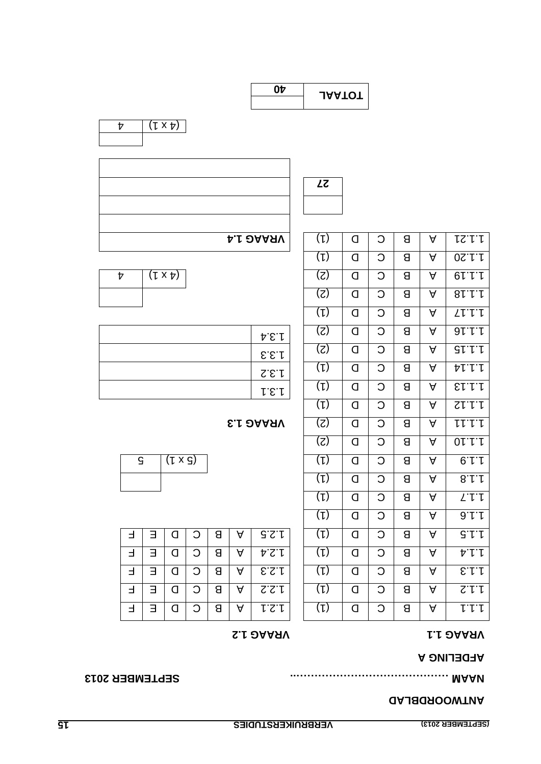### **TWOORDBLAD AN**

(1) D C B A 1.1.6

(1) D C B A 1.1.7

 $(2)$  0 0  $(3)$ 

(1) D C B A 1.1.12

 $(1)$  0 0 8 4  $\frac{1}{1}$ 

(1) D C B A 1.1.14

 $(S)$  | Q |  $S$  |  $S$  | A |  $S$  |  $I$ .

 $(S)$  0 0  $1$  e  $1$   $1$   $1$ 

) 1( D C B A 1.1.17

(1) D C B A 1.1.20

1.1.21 A **B** C D Q

### **SEPTEMBER 2013 M …………………………………….. A NA**

### **A AFDELING**

## **1.2 VRAAG 1.1 VRAAG**

|  | ⌒ | В | А | 9.5.1 |  |   |   | Я |   | G'           |
|--|---|---|---|-------|--|---|---|---|---|--------------|
|  |   | Я | А | れてい   |  |   |   | Я |   | ヤー           |
|  |   | Я | A | 5.5.1 |  |   |   | Я | A | E.1.1        |
|  | С | Я | А | 2.2.1 |  | Π | C |   | A | $S^{\prime}$ |
|  | ⌒ | 8 | A | 1.2.1 |  |   | C | Я | A | レレー          |
|  |   |   |   |       |  |   |   |   |   |              |

| C. | $(1 \times S)$ |  |  |  |  |
|----|----------------|--|--|--|--|
|    |                |  |  |  |  |

### **1.3 VRAAG** (2) D C B A 1.1.11

| 1.3.4        |
|--------------|
| $E.E.\Gamma$ |
| S.E.         |
| 1.5.1        |

| $(1 \times p)$ |  |  |  | $  0   0   8   4   6111$ |
|----------------|--|--|--|--------------------------|
|                |  |  |  |                          |

| ш<br>՝ |  |
|--------|--|
|--------|--|





| <b>JAATOT</b> |
|---------------|
|               |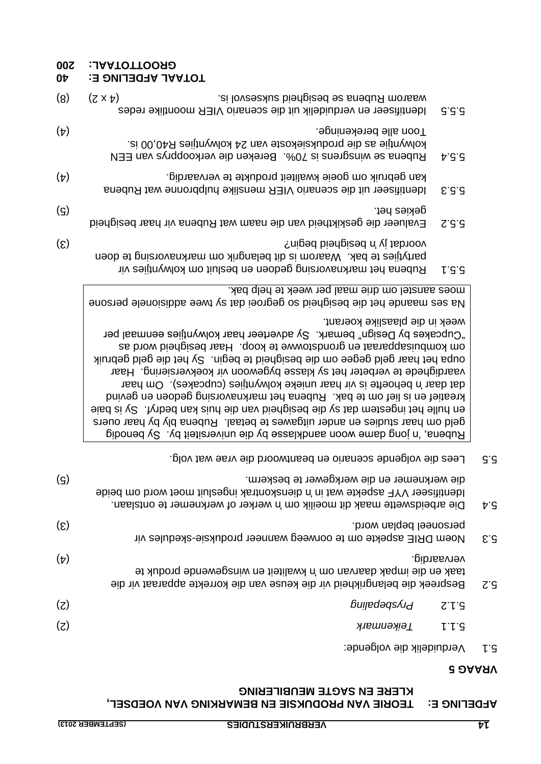### **VEDETING E: LEOKIE AVA BKODNKSIE EN BEWVKKING AVA AOEDSEL, KLERE EN SAGTE MEUBILERING**

### **5 VRAAG**

Verduidelik die volgende: 5.1

|                             | Rubena se winsgrens is 70%. Bereken die verkoopprys van EEN<br>b.5.6                                                                                                                                                                                                                                                                                                                                                                                                                                                                                                                                                                                                                                                                     |                           |
|-----------------------------|------------------------------------------------------------------------------------------------------------------------------------------------------------------------------------------------------------------------------------------------------------------------------------------------------------------------------------------------------------------------------------------------------------------------------------------------------------------------------------------------------------------------------------------------------------------------------------------------------------------------------------------------------------------------------------------------------------------------------------------|---------------------------|
| $(\nabla)$                  | kan gebruik om goeie kwaliteit produkte te vervaardig.<br>Identifiseer uit die scenario VIER menslike hulpbronne wat Rubena<br>6.5.3                                                                                                                                                                                                                                                                                                                                                                                                                                                                                                                                                                                                     |                           |
| $\left( \mathcal{G}\right)$ | gekies het.<br>Evalueer die geskiktheid van die naam wat Rubena vir haar besigheid<br>$Z^{\cdot}S^{\cdot}S$                                                                                                                                                                                                                                                                                                                                                                                                                                                                                                                                                                                                                              |                           |
| $\left( \mathcal{E}\right)$ | yoordat jy 'n besigheid begin?<br>partytiles te bak. Waarom is dit belangrik om marknavorsing te doen<br>Rubena het marknavorsing gedoen en besluit om kolwyntjies vir<br>$L$ .5.5                                                                                                                                                                                                                                                                                                                                                                                                                                                                                                                                                       |                           |
|                             | moes aanstel om drie maal per week te help bak.<br>Na ses maande het die besigheid so gegroei dat sy twee addisionele persone                                                                                                                                                                                                                                                                                                                                                                                                                                                                                                                                                                                                            |                           |
|                             | week in die plaaslike koerant.<br>"Cupcakes by Design" bemark. Sy adverteer haar kolwyntjies eenmaal per<br>om kombuisapparaat en grondsbowwe te koop. Haar besigheid word as<br>oupa het haar geld gegee om die besigheid te begin. Sy het die geld gebruik<br>vaardighede te verbeter het sy klasse bygewoon vir koekversiering. Haar<br>dat daar 'n behoefte is vir haar unieke kolwyntjies (cupcakes). Om haar<br>kreatief en is lief om te bak. Rubena het marknavorsing gedoen en gevind<br>eing het ingestem dat sy die besigheid van die huis kan bedryf. Sy is baie<br>geld om haar studies en ander uitgawes te betaal. Rubena bly by haar ouers<br>Biboned v2 yd tietiers woon aandklasse by die universiteit by . Sy benodig |                           |
|                             | Lees die volgende scenario en beantwoord die vrae wat volg.                                                                                                                                                                                                                                                                                                                                                                                                                                                                                                                                                                                                                                                                              | G.d                       |
| (ဌ)                         | die werknemer en die werkgewer te beskerm.<br>ldentifiseer VYF aspekte wat in bienskontrak ingesluit moet word om beide<br>Die arbeidswette maak dit moeilik om 'n werker of werknemer te ontslaan.                                                                                                                                                                                                                                                                                                                                                                                                                                                                                                                                      | ÞG                        |
| $\left( \mathcal{E}\right)$ | personeel beplan word.<br>Noem DRIE aspekte om te oorweeg wanneer produksie-skedules vir                                                                                                                                                                                                                                                                                                                                                                                                                                                                                                                                                                                                                                                 | $\mathcal{E}.\mathcal{S}$ |
| $(\nabla)$                  | vervaardig.<br>taak en die impak daarvan om 'n kwaliteit en winsgewende produk te<br>Bespreek die belangrikheid vir die keuse van die korrekte apparaat vir die                                                                                                                                                                                                                                                                                                                                                                                                                                                                                                                                                                          | $Z^{\cdot}S$              |
| $(\zeta)$                   | Buḷḷɐdəqsʎı႕<br>$Z^{\prime}$ $\downarrow$ $S$                                                                                                                                                                                                                                                                                                                                                                                                                                                                                                                                                                                                                                                                                            |                           |
| (z)                         | L.L.G<br>Teikenmark                                                                                                                                                                                                                                                                                                                                                                                                                                                                                                                                                                                                                                                                                                                      |                           |

kolwyntjie as die produksiekoste van 24 kolwyntjies R40,00 is.

5.5.5 ldentifiseer en verduidelik uit die scenariv VIER moontlike redes

(4) alle berekeninge. Toon

(8)  $(5 \times 4)$  and  $(8)$  waarom Rubena se besighed suppose  $(8)$ 

### **10TAAL AFDELING E: 40**

**200 L: A TOTA OOT GR**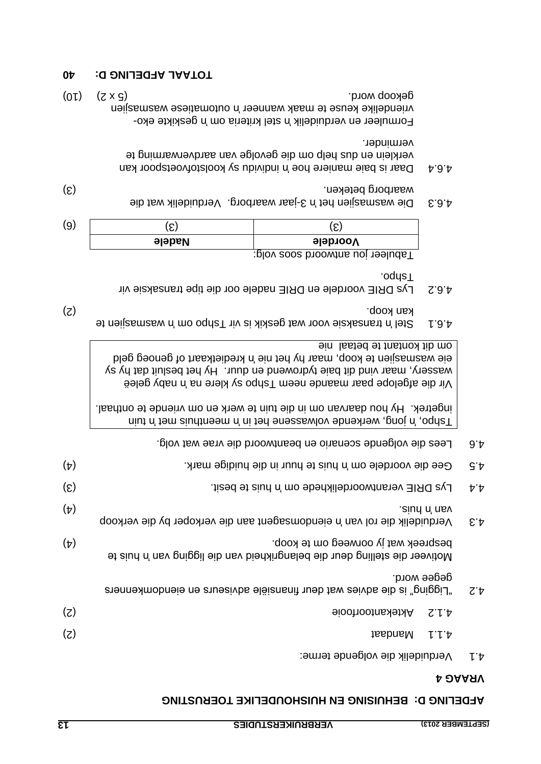### **BEHUISING EN HUISHOUDELIKE TOERUSTING D: AFDELING**

### **4 VRAAG**

Verduidelik die volgende terme: 4.1

| 9.4           | Lees die volgende scenario en beantwoord die vrae wat volg.                                                        |                 |
|---------------|--------------------------------------------------------------------------------------------------------------------|-----------------|
| G't           | Gee die voordele om 'n huis te huur in die huidige mark.                                                           | $(\nabla)$      |
| $\nabla \phi$ | Lys DRIE verantwoordelikhede om 'n huis te besit.                                                                  | $(\mathcal{E})$ |
| $\epsilon$ .4 | siud n' nsv.<br>Verduidelik die rol van 'n eiendomsagent aan die verkoper by die verkoop                           | $(\nabla)$      |
|               | bespreek wat jy oorweeg om te koop.<br>Motiveer die stelling deur die belangrikheid van die ligging van 'n huis te | $(\nabla)$      |
| 7.A           | gedee word.<br>"Elgging" is die advies wat deur financiele adviserurs en eiendomkenners                            |                 |
|               | <b>Aktekantoorrooie</b><br>ていヤ                                                                                     | (z)             |
|               | thebneM<br>トトト                                                                                                     | (Z)             |
|               |                                                                                                                    |                 |

Tein in met 'n meende volwassene in in die 'n die 'n die 'n die 'n die 'n teing, werken in 'n Tshipo, werkende ingetrek. Hy hou daarvan om in die tuin te werk en om vriende te onthaal.

Vir die afgelope paar maande neem Tshpo sy klere na 'n vaby geleë wassery, maar vind dit baie tydrowend en duur. Hy het besluit dat hy sy eie wasmasjien te koop, maar hy het nie 'n kredietkaart of genoeg geld om dit kontant te betaal nie

- 4.6.1 wasmasjien te 'n transaksie voor wat geskik is vir van de de vir de vir de vir de vir de vir de vir de v (2) koop. kan
- Lys DRIE voordele en DRIE nadele oor die tipe transaksie vir 4.6.2 Tshpo.

| (9) | ⌒<br>ັ        |                                    |
|-----|---------------|------------------------------------|
|     | <b>Nadele</b> | <b>Voordele</b>                    |
|     |               | ו שמחובבו למח שווומממות אמפז ממולי |

Tabuleer jou antwoord soos volg:

- 4.6.3 Die wasmasjien het 'n Jaar waarborg. Verduidelik wat die (3) waarborg beteken.
- 4.6.4 Daar is baie maniere hoe 'n individu sy koolstofvoetspoor kan verklein en dus help om die gevolge van aardverwarming te verminder.

Formuleer en verduidelik 'n stel kriteria om 'n geskikte ekovriendelike keuse te maak wanneer 'n outomatiese wasmasjien  $(01)$   $(5 \times 2)$  gekoop word.

### **10 APDELING D: 40**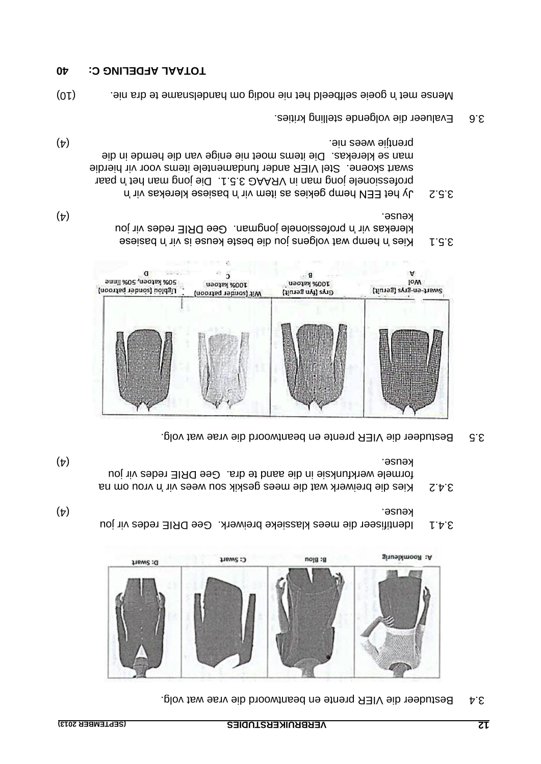3.4 Bestudeer die VIER prente en beantwoord die vrae wat volg.



- u jo Identifiseer die mees klassieke breiwerk. Gee DRIE redes vir 3.4.1 (4) keuse.
- vrou om na 'n Kies die breiwerk wat die mees geskik sou wees vir 3.4.2 formele werkfunksie in die aand te dra. Gee DRIE redes vir jou (4) keuse.
- Bestudeer die VIER prente en beantwoord die vrae wat volg. 3.5



- assised n'in si seuse also de bolgens is vir basiese essence in hema voltat de la contenta de la contenta de l klerekas vir 'n professionele jongman. Gee DRIE redes vir jou (4) keuse.
- Jy het EEN hemp gekies as item vir 'n basiese klerekas vir 'n 3.5.2 paar 'n professionele jong man in VRAAG 3.5.1. Die jong man het swart skoene. Stel VIER ander fundamentele items voor vir hierdie man se klerekas. Die items moet nie enige van die hemde in die (4) prentjie wees nie.
- Evalueer die volgende stelling krities. 3.6

(10) goeie selfbeeld het nie nodig om handelsname te dra nie. 'n Mense met

### **10 APDELING C: 40**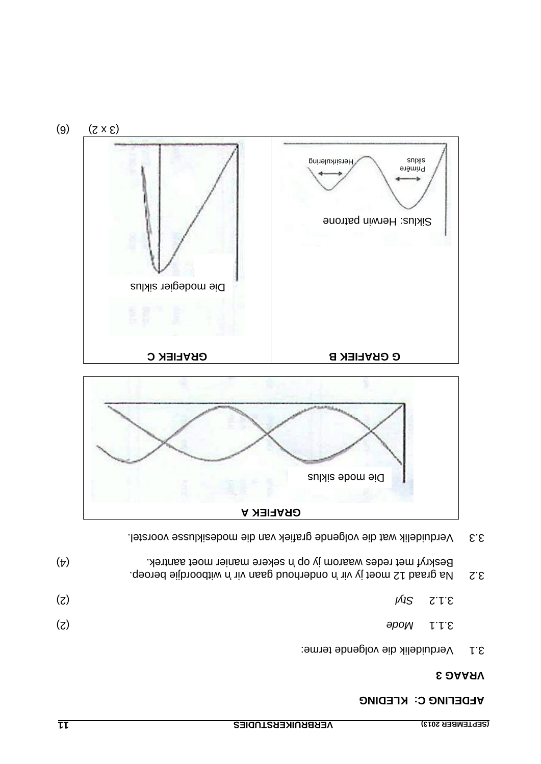### **KLDEFING C: KFEDING**

### **3 VRAAG**

| $Z^{\prime}$ | .qeoned eijbnoodtiw n' niv nese buodnebno n' niv vitboordie beroep. |                                 |     |
|--------------|---------------------------------------------------------------------|---------------------------------|-----|
|              | $MSS$ $Z'VE$                                                        |                                 | (z) |
|              |                                                                     | $3.1.1$ Mode                    | (z) |
| r.s          |                                                                     | Verduidelik die volgende terme: |     |

(4) sekere manier moet aantrek. 'n Beskryf met redes waarom jy op

Verduidelik wat die volgende grafiek van die modesiklusse voorstel. 3.3



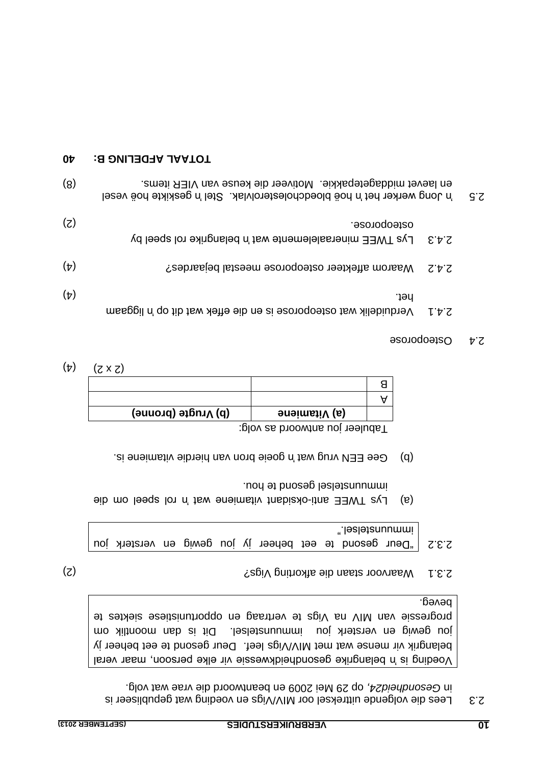Lees die volgende uittreksel oor MIV/Vigs en voeding wat gepubliseer is 2.3 op 29 Mei 2009 en beantwoord die vrae wat volg. *, Gesondheid24* in

Voeding is 'n belangrike gesondheidkwessie vir elke persoon, maar veral belangrik vir mense wat met MIV/Vigs leef. Deur gesond te eet beheer jy jou gewig en versterk jou immuunstelsel. Dit is dan moontlik om progressie van MIV na Vigs te vertraag en opportunistiese siektes te beveg.

(2) Digs Waarvoor staan die afkorting Vigs?

2.3.2 | "Deur gesond te eet beheer jy jou gewig en versterk jou immunstelsel."

- or Lys TWEE anti-oksidant vitamiene wat 'n rol speel om die immunstelsel gesong te pon-
- goeie bron van hierdie pron van hierdie vitamiene is.  $\mathbf{a}$

Tabuleer jou antwoord as volg:

|         | (d) Vrugte (bronne) | (a) Vitamiene |  |
|---------|---------------------|---------------|--|
|         |                     |               |  |
|         |                     |               |  |
| (C ^ C) |                     |               |  |

 $(\tau)$   $(7 \times 7)$ 

### **Osteoporose**

| S.S |       | en laevet middagetepakkie. Motiveer die keuse van VIER items.<br><sup>1</sup> hong werker het in hoë bloedcholesterolvlak. Stel in geskikte hoë vesel | (8)        |
|-----|-------|-------------------------------------------------------------------------------------------------------------------------------------------------------|------------|
|     | 2.4.3 | osteoporose.<br>Lys TWEE mineraalelemente wat 'n belangrike rol speel by                                                                              | (5)        |
|     | てヤて   | Waarom affekteer osteoporose meestal bejaardes?                                                                                                       | $(\nabla)$ |
|     | じかて   | ∵iə∩<br>Werduidelik wat osteoporose is en die effek wat dit op 'n liggaam                                                                             | $(\nabla)$ |

### **10 APDELING B: 40**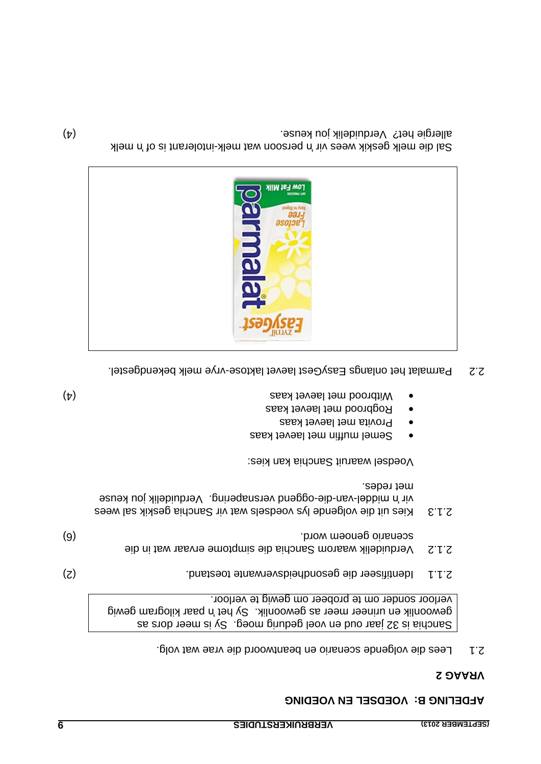### **VLDETING B: AOED2ET EN AOEDING**

### **2 VRAAG**

2.1 Lees die volgende scenario en beantwoord die vrae wat volg.

Sanchia is 32 jaar oud en voel gedurig moeg. Sy is meer dors as gewoonlik en urineer meer as gewoonlik. Sy het 'n paar kilogram gewig verloor sonder om te probeer om gewig te verloor.

- (2) Identifiseer die gesondheidsverwante toestand. 2.1.1
- Verduidelik waarom Sanchia die simptome ervaar wat in die 2.1.2 (6) scenario genoem word.
- 2.1.3 Kies uit die volgende lys voedsels wat vir Sanchia geskik sal wees vir 'n middel-van-die-oggend versnapering. Verduidelik jou keuse met redes.

Voedsel waaruit Sanchia kan kies:

- Semel muffin met laevet kaas
- Provita met laevet kaas
- Rogbrood met laevet kaas
- (4) Witbrood met laevet kaas
- 2.2 Parmalat het onlangs EasyGest laevet laktose-vrye melk bekendgestel.



Sal die melk geskik wees vir 'n persoon wat melk-intolerant is of 'n melk (4) allergie het? Verduidelik jou keuse.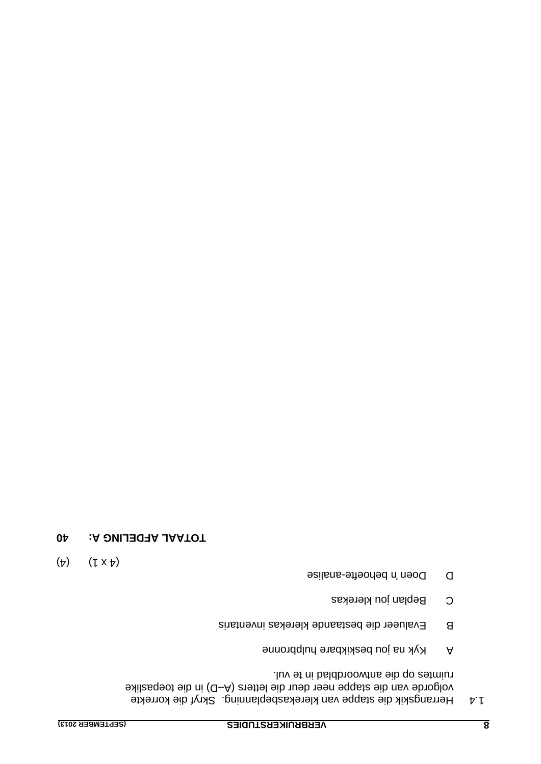1.4 Herrangskik die stappe van klerekasbeplanning. Skryf die korrekte volgorde van die stappe neer deur die letters (A-D) in die toepaslike ruimtes op die antwoordblad in te vul.

- A Kyk na jou beskikbare hulpbronne
- Evalueer die bestaande klerekas inventaris B
- Beplan jou klerekas C
- Doen 'n behoefte-analise
- ( $\flat$ )  $(\downarrow x \downarrow)$
- **10 ATDELING A: 40**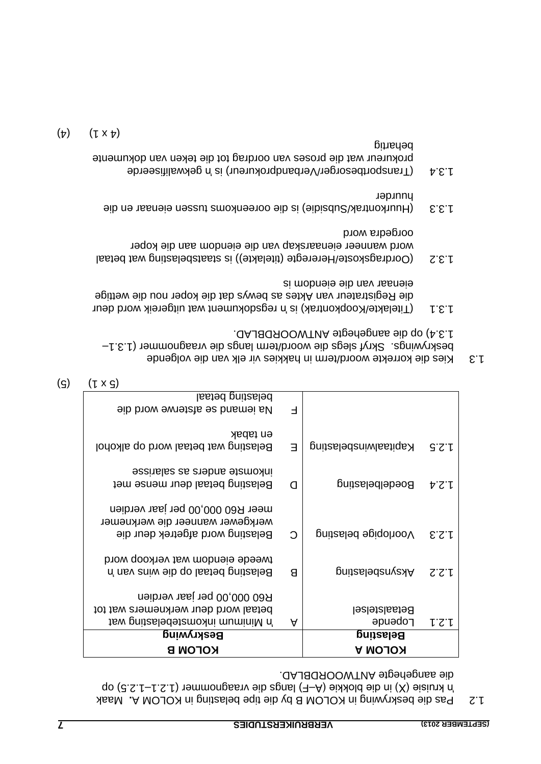1.2 Pas die beskrywing in KOLOM B by die tipe belasting in KOLOM A. Maak 10.2.5) op – Funisie (X) bis die plangs die vraagnommer (1.2.1 – 1.2.5 do die aangehegte ANTWOORDBLAD.

| belasting betaal                     |         |                        |       |
|--------------------------------------|---------|------------------------|-------|
| Aa iemand se afsterwe word die       | Е       |                        |       |
|                                      |         |                        |       |
| eu tabak                             |         |                        |       |
| Belasting wat betaal word op alkohol | Е       | gnitaalwinsbelasting   | 3.5.1 |
| essinales as subplies as salarisee   |         |                        |       |
| Belasting betaal deur mense met      | C       | <b>Boedelbelasting</b> | 4.2.4 |
|                                      |         |                        |       |
| meer R60 000,00 per jaar verdien     |         |                        |       |
| werkgewer wanneer die werknemer      |         |                        |       |
| Belasting word afgetrek deur die     | $\circ$ | Voorlopige belasting   | 5.5.1 |
|                                      |         |                        |       |
| tweede eiendom wat verkoop word      |         |                        |       |
| Belasting betaal op die wins van 'n  | Я       | <b>Aksynsbelasting</b> | S.S.I |
|                                      |         |                        |       |
| R60 000,00 per jaar verdien          |         |                        |       |
| betaal word deur werknemers wat tot  |         | <b>Betaalstelsel</b>   |       |
| tsw gnitzsledetemoxni muminiM n'     | A       | <b>Pobeuge</b>         | してし   |
| Beskrywing                           |         | <b>Belasting</b>       |       |
| KOLOM B                              |         | <b>KOLOM A</b>         |       |

 $(g)$   $(1 \times g)$ 

- 1.3 Kies die korrekte woord/term in hakkies vir elk van die volgende – beskrywings. Skryf slegs die woord/term langs die vraagnommer (1.3.1 . ANTWOORDBLAD 1.3.4) op die aangehegte
- regsdokument wat uitgereik word deur 'n Titelakte/Koopkontrak) is ( 1.3.1 die Registrateur van Aktes as bewys dat die koper nou die wettige eienaar van die eiendom is
- 1.3.2 (Oordragskoste/Hereregte (titelakte)) is staatsbelasting wat betaal word wanneer eienaarskap van die eiendom aan die koper oorgedra word
- (Huurkontrak/Subsidie) is die ooreenkoms tussen eienaar en die 1.3.3 huurder
- $\text{d}$ .3.4 (Transportbesorger/Verbandprokureur) is 'n gekwalifiseerde prokureur wat die proses van oordrag tot die teken van dokumente behartig

$$
(\mathbf{r}) \qquad (\mathbf{r} \times \mathbf{r})
$$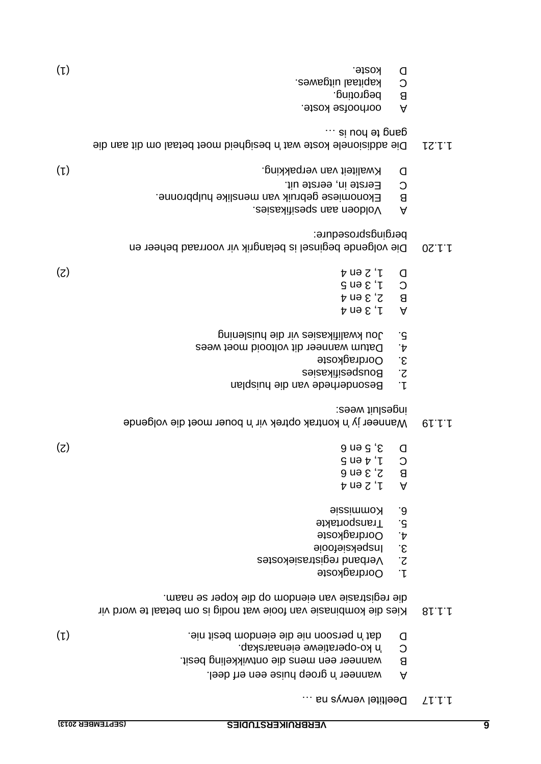- $\ldots$  is na is a larger verwys na  $\ldots$
- A wanneer 'n groep huise een erf deel.
- wanneer een mens die ontwikkeling besit. B
- G by ko-oberatiewe eienaarskap.
- (1) persoon nie die eiendom besit nie. 'n dat D
- vir om betaal te word vir wat nodig is om betaal te word vir die registrasie van eiendom op die koper se naam.
- Oordragkoste . 1
- Verband registrasiekostes . 2
- 3. Inspeksiefooie
- 4. Oordragkoste
- 5. Transportakte
- Kommissie . 6
- 1, 2 en 4 A
- 2, 3 en 6 B
- $C \cup \forall$  i a bu  $Q$
- $(2)$  3, 5 en 6  $(3)$
- Wanneer jy 'n kontrak optrek vir 'n bouer moet die volgende 1.1.19 : ingesluit wees
- Besonderhede van die huisplan 1.
- Bouspesifikasies 2.
- 3. Oordragkoste
- 4. Datum wanneer dit voltooid moet wees
- 5. Jou kwalitikasies vir die huislening
- 1, 3 en 4 A
- $B \quad S$ ,  $3$  en 4
- $C \cup \{9, 1, 3, 4, 5\}$
- (2) 1, 2 en 4 D
- Die volgende beginsel is belangrik vir voorraad beheer en 1.1.20 pergingsprosedure:
- . Voldoen aan spesifikasies A
- B Ekonomiese gebruik van menslike hulpbronne.
- C Eerste in, eerste uit.
- D Kwaliteit van verpakking. Die bereiking Die bereiking Die bereiking Die bereiking Die bereiking Die bereiking D
- bis die seigheid wat 'n Die addisionele koste wat in Die aan die eigenale koste wat 1.21.21.21.21.21  $\cdots$  si nou at pusp
- A oorhoofse koste.
- B begroting.
- kapitaal uitgawes. C
- (1) koste. D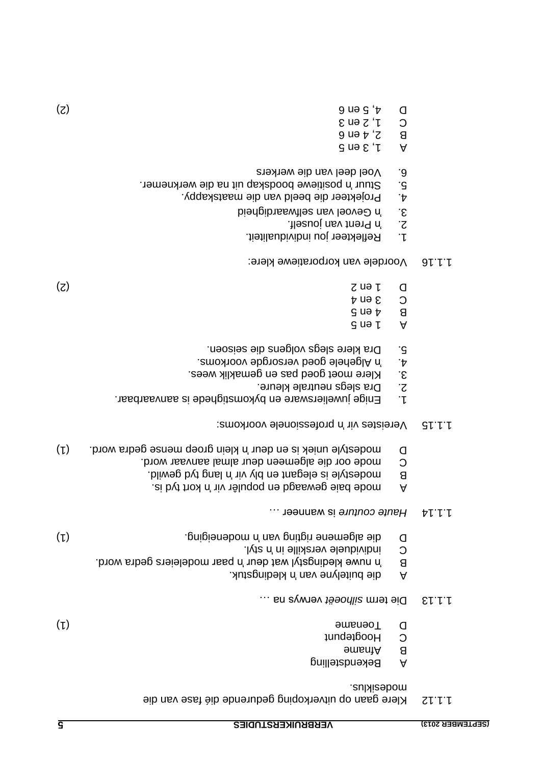| modesiklus.                                           |      |
|-------------------------------------------------------|------|
| Klere gaan op uitverkoping gedurende dié fase van die | ていいし |

- modesiklus.
- Bekendstelling A
- Afname B
- C Hoogtepunt
- (1) Toename D
- verwys na meterm silhoeët verwys na ...
- 
- 
- A die buitelyne van 'n kledingstuk.
- B word. Yn paar word wat deur 'n paar modeleiers gedra word.
- 
- Style individuele verskille in 'n styl.
- 
- 

. is byt tho and in popule on populer vir the A

- 
- 
- 
- 
- 
- 
- 
- 
- 
- 
- 
- 
- 
- 
- 
- 
- 
- 
- 
- 
- 
- 
- 
- 
- 
- 
- 
- 
- 
- 
- 
- 
- 
- (1) and the algemene rigting of the algement of the control of the control of the control of the control of the control of the control of the control of the control of the control of the control of the control of the contr
- 
- 1.1.14 Haute couture is wanneer ...
- B bij began tyd die belegant en ply vir hen by die byd in en bewild. C mode oor die algemeen deur almal aanvaar word.
- D is modestyle uniek is en deur 'n klein groep mense gedra word. (1)
- 
- professionele vir in biotessionele voorkoms:
- 
- Enige juweliersware en bykomstighede is aanvaarbaar. 1.
- Dra slegs neutrale kleure. 2.
- Klere moet goed pas en gemaklik wees. 3.
- Algehele goed versorgde voorkoms. 'n 4.
- 5. Dra klere slegs volgens die seisoen.
- 
- $3$  ma  $1$  A
- $9$  ue  $\frac{1}{2}$  B
- 3 en 4 C
- (2) 2 de la 2 de janvier d'Albert II en 2 de la 2 de janvier d'Albert II en 2 de la 2 de janvier d'
- 
- 
- Voordele van korporatiewe klere: 1.1.16
- 1. Reflekteer jou individualiteit.
- Prent van jouself. 'n 2.
- S. Yo Gevoel van selfwaardigheid
- . Projekteer die beeld van die maatskappy 4.
- 5. Stuur 'n positiewe boodskap uit na die werknemer. Voel deel van die werkers 6.
- 
- $\overline{a}$  and  $\overline{b}$  if  $\overline{b}$
- $B$   $S$ <sup>+</sup> $\theta$   $\theta$
- $C \cup Z$  en 3
- (2) 4, 5 en 6 D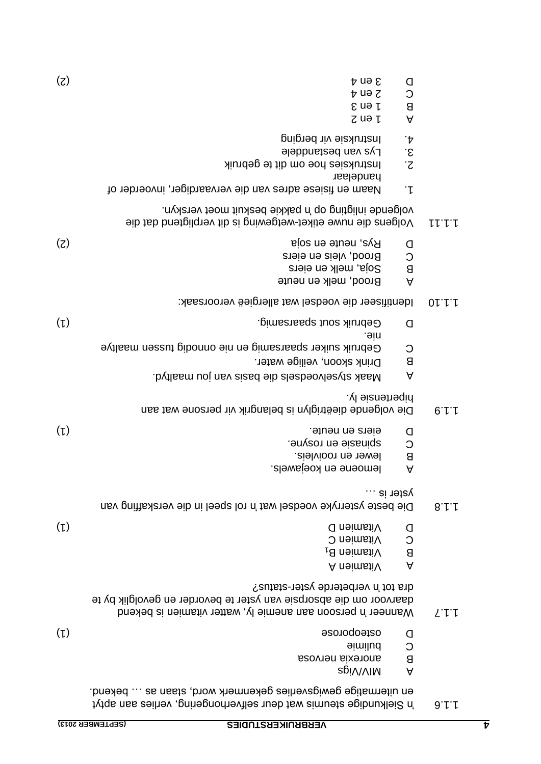|        | 8<br>$\forall$                                    | 1 en 3<br>$Z$ uə $\mu$                                                                                                                                                   |  |
|--------|---------------------------------------------------|--------------------------------------------------------------------------------------------------------------------------------------------------------------------------|--|
|        | $\cdot \mathcal{V}$<br>$\mathcal{S}$<br>$\cdot$ z | <b>portuksie vir berging</b><br><b>Figure</b> van pezgaugele<br>Instruksies hoe om dit te gebruik<br>handelaar                                                           |  |
|        | $\ddot{}$                                         | Naam en fisiese adres van die vervaardiger, invoerder of                                                                                                                 |  |
| しししし   |                                                   | volgende inligting op 'n pakkie beskuit moet verskyn.<br>Volgens die nuwe etiket-wetgewing is dit verpligtend dat die                                                    |  |
|        | O<br>$\circ$<br>$\mathsf{B}$<br>$\forall$         | (z)<br>Rys, neute en soja<br>Brood, vleis en eiers<br>Soja, melk en eiers<br>Brood, melk en neute                                                                        |  |
| 01.1.1 |                                                   | Identifiseer die voedsel wat allergieë veroorsaak:                                                                                                                       |  |
|        | O                                                 | $(\iota)$<br>Gebruik sout spaarsamig.<br>.əin                                                                                                                            |  |
|        | C<br>$\mathsf{B}$<br>$\forall$                    | Gebruik suiker spaarsamig en nie onnodig tussen maaltye<br>Drink skoon, veilige water.<br>bytlasm uoj nsv sized sib slesbeovlesyts AssM.                                 |  |
| 0.1.1  |                                                   | . vl əiznənəqin<br>Die volgende dieëtriglyn is belangrik vir persone wat aan                                                                                             |  |
|        | O<br>C<br>$\mathsf{B}$<br>$\forall$               | $(\iota)$<br>eiers en neute.<br>spinasie en rosyne.<br>lewer en rooivleis.<br>lemoene en koejawels.                                                                      |  |
| 8.1.1  | yster is …                                        | Die beste ysterryke voedsel wat 'n rol speel in die verskaffing van                                                                                                      |  |
|        | O<br>$\circ$<br>$\mathsf B$<br>A                  | $(\iota)$<br>Uitamien D<br>Vitamien C<br>Vitamien B <sub>1</sub><br>A neimstiV                                                                                           |  |
| エトト    |                                                   | dra tot 'n verbeterde yster-status?<br>daarvoor om die absorpsie van yster te bevorder en gevolglik by te<br>Wanneer 'n persoon aan anemie ly, watter vitamien is bekend |  |
|        | O<br>C<br>$\mathsf{B}$<br>$\forall$               | $(\iota)$<br>esonoqosto<br>bulimie<br>anorexia nervosa<br>agi∨∖∨lM                                                                                                       |  |
| 9.1.1  |                                                   | en uitermatige gewigsverlies gekenmerk word, staan as  bekend.<br><i>i</i> Sielkundige steurnis wat deur selfverhongering, verlies aan aptyt                             |  |

(2) 3 en 4 D

2 en 4 C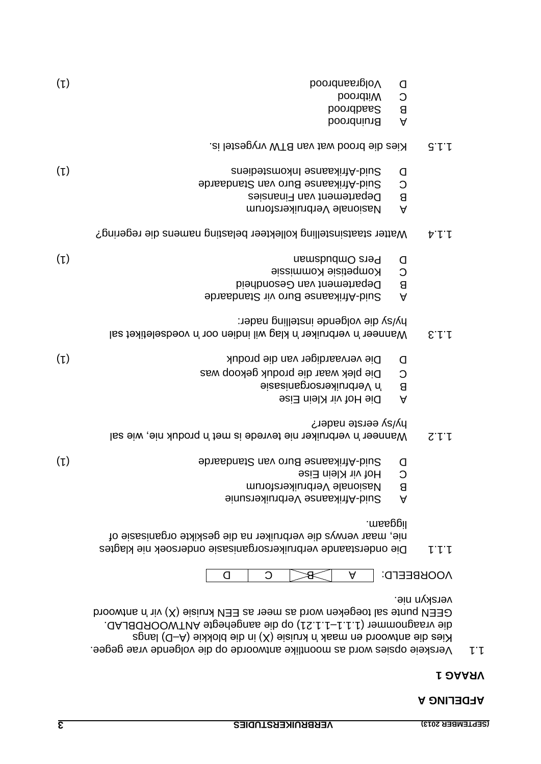### **AFDELING A**

### **VRAAG 1**

Verskeie opsies word as moontlike antwoorde op die volgende vrae gegee. 1.1  $R$ ies die antwoord en maak 'n kruisie (X) in die plokkie (A-D) langs 1.1.21) op die aangehegte ANTWOORDBLAD. – die vraagnommer (1.1.1 GEEN punte sal toegeken word as meer as EEN kruisie  $(X)$  vir 'n antwoord verskyn nie.

 $\wedge$ OOKBEELD:  $\rightarrow$   $\rightarrow$   $\rightarrow$   $\rightarrow$   $\rightarrow$   $\rightarrow$   $\rightarrow$  0

- nie klagtes Die onderstaande verbruikersorganisasie ondersoek 1.1.1 of nie, maar verwys die verbruiker na die geskikte organisasie . liggaam
- Suid-bing Verbruikersunie
- B Nasionale Verbruikersforum
- Hof vir Klein Eise C
- (1) Afrikaanse Buro van Standaarde Suid Duitse van Suid Duitse aangeste van Suid Duitse van Suid Duitse van G
- 1.1.2. Vanneer 'n verbruiker nie tevrede is met 'n broduk nie, wie sal hy/sy eerste nader?
- Die Hof vir Klein Eise
- B y Verbruikersorganisasie
- Die plek waar die produk gekoop was C
- D Die vervaardiger van die produk Die produkteur (1) onder die produkteur van die produkteur (1) onder Die pro
- 1.1.3 is the indicative transition of  $k$  indien oor in voedseletiket sal hy/sy die volgende instelling nader:
- A Suid-Afrikaanse Buro vir Standaarde
- B Departement van Gesondheid
- Kompetisie Kommissie C
- (1) and the control of the control of the control of the control of the control of the control of the control of the control of the control of the control of the control of the control of the control of the control of the
- 1.1.4 Watter staatsinstelling kollekteer belasting namens die regering?
- Aasionale Verbruikersforum
- B Departement van Finansies
- Afrikaanse Buro van Standaarde Suid C
- (1) and Dupleys are interesting to the Suid Dupleys of the Suid Dupleys and Dupleys and Dupleys and Dupleys and Dupleys and Dupleys and Dupleys and Dupleys and Dupleys and Dupleys and Dupleys and Dupleys and Dupleys and Du
- Kies die brood wat van BTW vrygestel is.
- boondniun<sub>B</sub> A
- Boordbas2 B C Mitbrood
- (1) Volgraanbrood D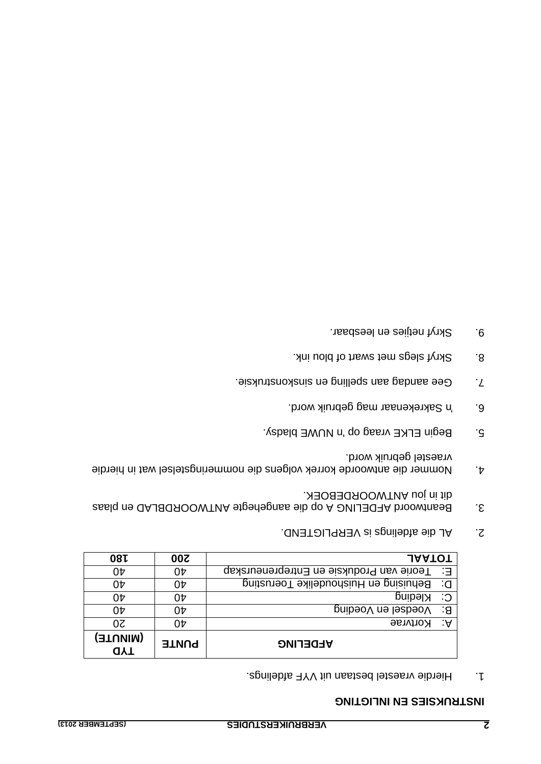### **INSTRUKSIES EN INLIGTING**

Hierdie vraestel bestaan uit VYF afdelings. 1.

| <b>081</b>             | <b>200</b>   | <b>JAATOT</b>                               |    |
|------------------------|--------------|---------------------------------------------|----|
| 04                     | 04           | E: Teorie van Produksie en Entrepreneurskap |    |
| 0Þ                     | 0Þ           | Behuising en Huishoudelike Toerusting       | G: |
| 04                     | 04           | Kleding                                     | C: |
| 04                     | 07           | Voedsel en Voeding                          | ∹a |
| 50                     | 04           | <b>Rortvrae</b>                             | ∵A |
| (AINUTE)<br><b>UYT</b> | <b>PUNTE</b> | <b>AFDELING</b>                             |    |

- AL die afdelings is VERPLIGTEND. 2.
- Beantwoord AFDELING A op die aangehegte ANTWOORDBLAD en plaas 3. ANTWOORDEBOEK. dit in jou
- Nommer die antwoorde korrek volgens die nommeringstelsel wat in hierdie 4. vraestel gebruik word.
- Begin ELKE vraag op 'n NUWE bladsy. 5.
- Sakrekenaar mag gebruik word. 'n 6.
- sinstruksie. The spelling en spelling aan 7.
- Skryf slegs met swart of blou ink.
- Skryf netjies en leesbaar. 9.